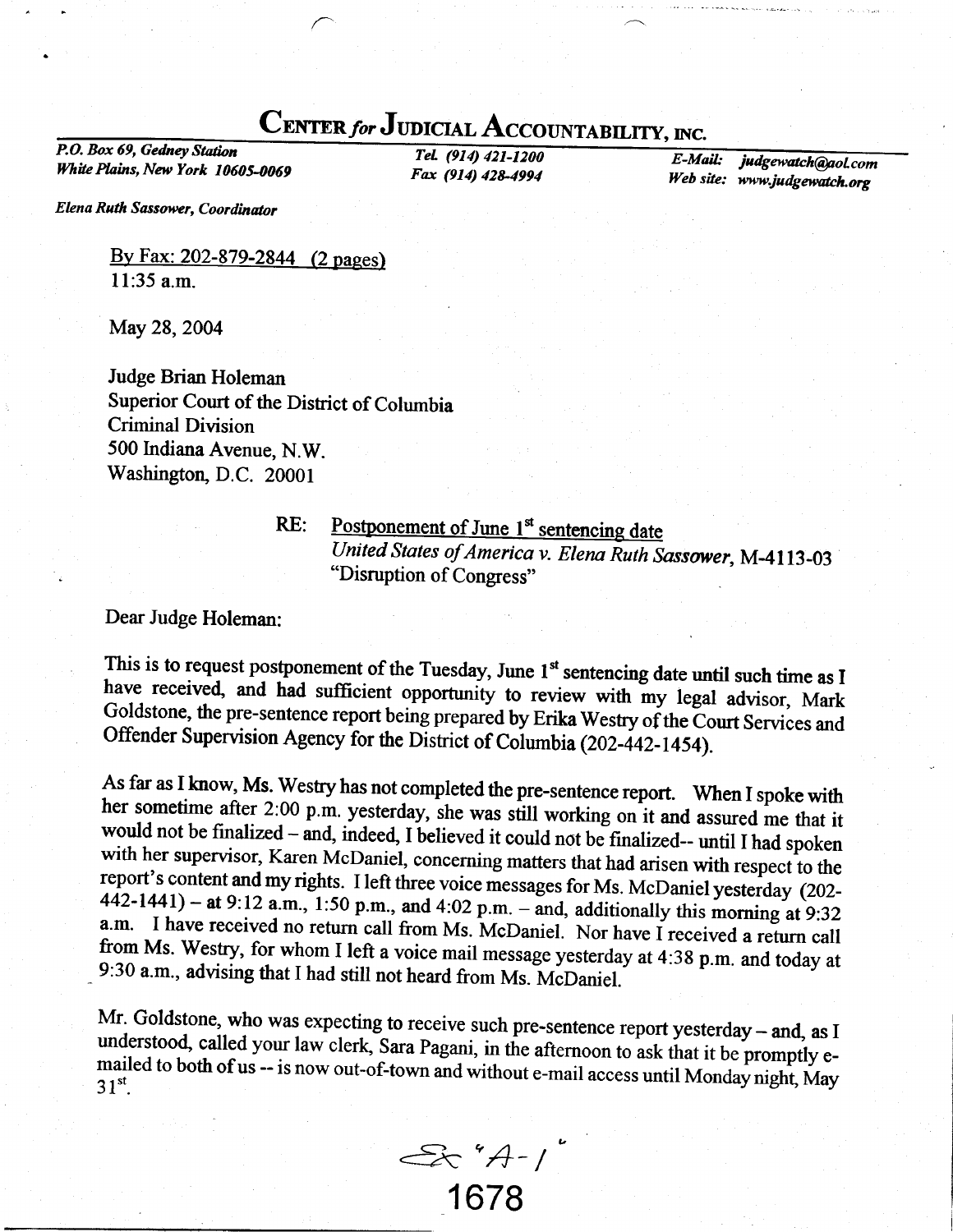## CENTER for JUDICIAL ACCOUNTABILITY, INC.

P.O. Box 69, Gedney Staion White Plains, New York 10605-0069

TeL (914) 421-1200 Fax (914) 428-4994

E-MaiL. Web site: www.judgewatch.or judgewatch@aol.com

Elena Ruth Sassower, Coordinator

<u>By Fax: 202-879-2844 (2 pages)</u> ll:35 a.m.

May 28, 2004

Judge Brian Holeman Superior Court of the District of Columbia Criminal Division 500 Indiana Avenue, N.W. Washington, D.C. 20001

RE:

## Postponement of June 1<sup>st</sup> sentencing date United States of America v. Elena Ruth Sassower, M-4113-03 "Disruption of Congress"

Dear Judge Holeman:

This is to request postponement of the Tuesday, June 1<sup>st</sup> sentencing date until such time as I<br>have received and had sufficient have received, and had sufficient opportunity to review with my legal advisor, Mark Goldstone, the pre-sentence report being prepared by Erika Westry of the Court Services and Offender Supervision Agency for the District of Columbia (202-442-1454).

As far as I know, Ms. Westry has not completed the pre-sentence report. When I spoke with<br>her sometime after 2:00 p.m. yesterday, she was still working on it and assured me that it<br>would not be finalized – and, indeed, I - 9:30 a.m., advising that I had still not heard from Ms. McDaniel.

Mr. Goldstone, who was expecting to receive such pre-sentence report yesterday – and, as I understood, called your law clerk, Sara Pagani, in the afternoon to ask that it be promptly emailed t understood, called your law clerk, Sara Pagani, in the afternoon to ask that it be promptly e-<br>mailed to both of us -- is now out-of-town and without e-mail access until Monday night, May<br> $31^{st}$ .

€c'4-/ 1678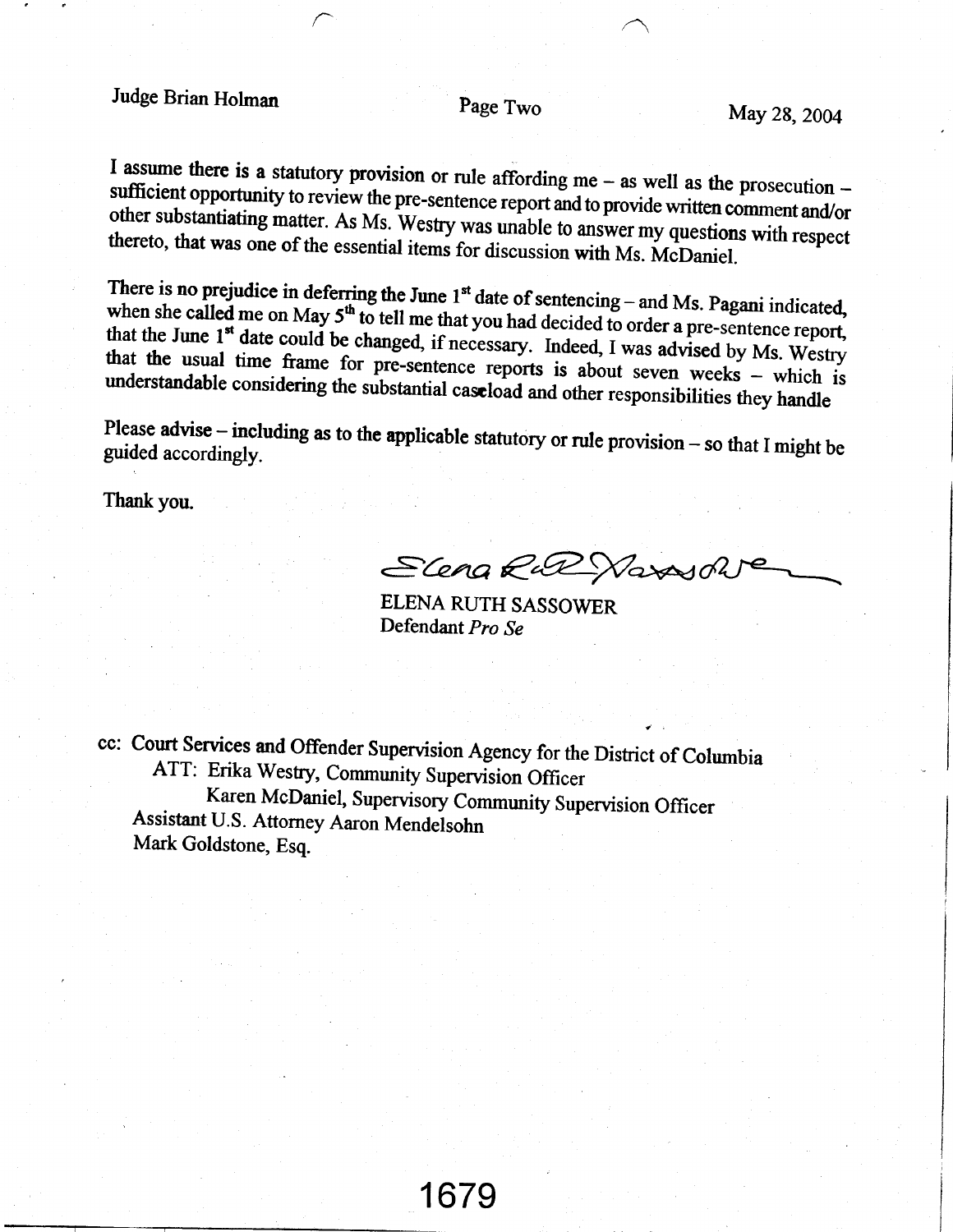## Judge Brian Holman

Page Two

I assume there is a statutory provision or rule affording me  $-$  as well as the prosecution  $$ sufficient opportunity to review the pre-sentence report and to provide written comment and/or other substantiating matter. As Ms. Westry was unable to answer my questions with respect thereto, that was one of the essential items for discussion with Ms. McDaniel.

There is no prejudice in deferring the June  $1<sup>st</sup>$  date of sentencing – and Ms. Pagani indicated, when she called me on May 5<sup>th</sup> to tell me that you had decided to order a pre-sentence report, that the June 1<sup>st</sup> date could be changed, if necessary. Indeed, I was advised by Ms. Westry that the usual time frame for pre-sentence reports is about seven weeks - which is understandable considering the substantial caseload and other responsibilities they handle

Please advise  $-$  including as to the applicable statutory or rule provision  $-$  so that I might be guided accordingly.

Thank you.

ELena Rut Navasoh

ELENA RUTH SASSOWER Defendant Pro Se

cc: Court Services and Offender Supervision Agency for the District of Columbia ATT: Erika Westry, Community Supervision Officer Karen McDaniel, Supervisory Community Supervision Officer Assistant U.S. Attorney Aaron Mendelsohn Mark Goldstone, Esq.

1679